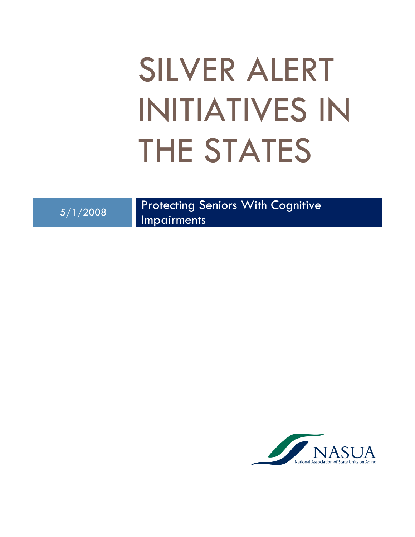# SILVER ALERT INITIATIVES IN THE STATES

5/1/2008 Protecting Seniors With Cognitive Impairments

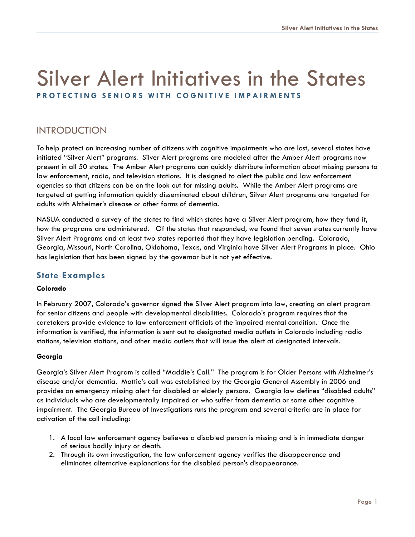## Silver Alert Initiatives in the States PROTECTING SENIORS WITH COGNITIVE IMPAIRMENTS

### INTRODUCTION

To help protect an increasing number of citizens with cognitive impairments who are lost, several states have initiated "Silver Alert" programs. Silver Alert programs are modeled after the Amber Alert programs now present in all 50 states. The Amber Alert programs can quickly distribute information about missing persons to law enforcement, radio, and television stations. It is designed to alert the public and law enforcement agencies so that citizens can be on the look out for missing adults. While the Amber Alert programs are targeted at getting information quickly disseminated about children, Silver Alert programs are targeted for adults with Alzheimer's disease or other forms of dementia.

NASUA conducted a survey of the states to find which states have a Silver Alert program, how they fund it, how the programs are administered. Of the states that responded, we found that seven states currently have Silver Alert Programs and at least two states reported that they have legislation pending. Colorado, Georgia, Missouri, North Carolina, Oklahoma, Texas, and Virginia have Silver Alert Programs in place. Ohio has legislation that has been signed by the governor but is not yet effective.

#### State Examples

#### Colorado

In February 2007, Colorado's governor signed the Silver Alert program into law, creating an alert program for senior citizens and people with developmental disabilities. Colorado's program requires that the caretakers provide evidence to law enforcement officials of the impaired mental condition. Once the information is verified, the information is sent out to designated media outlets in Colorado including radio stations, television stations, and other media outlets that will issue the alert at designated intervals.

#### Georgia

Georgia's Silver Alert Program is called "Maddie's Call." The program is for Older Persons with Alzheimer's disease and/or dementia. Mattie's call was established by the Georgia General Assembly in 2006 and provides an emergency missing alert for disabled or elderly persons. Georgia law defines "disabled adults" as individuals who are developmentally impaired or who suffer from dementia or some other cognitive impairment. The Georgia Bureau of Investigations runs the program and several criteria are in place for activation of the call including:

- 1. A local law enforcement agency believes a disabled person is missing and is in immediate danger of serious bodily injury or death.
- 2. Through its own investigation, the law enforcement agency verifies the disappearance and eliminates alternative explanations for the disabled person's disappearance.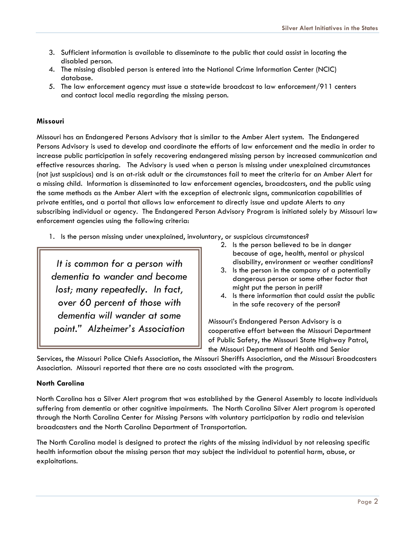- 3. Sufficient information is available to disseminate to the public that could assist in locating the disabled person.
- 4. The missing disabled person is entered into the National Crime Information Center (NCIC) database.
- 5. The law enforcement agency must issue a statewide broadcast to law enforcement/911 centers and contact local media regarding the missing person.

#### Missouri

Missouri has an Endangered Persons Advisory that is similar to the Amber Alert system. The Endangered Persons Advisory is used to develop and coordinate the efforts of law enforcement and the media in order to increase public participation in safely recovering endangered missing person by increased communication and effective resources sharing. The Advisory is used when a person is missing under unexplained circumstances (not just suspicious) and is an at-risk adult or the circumstances fail to meet the criteria for an Amber Alert for a missing child. Information is disseminated to law enforcement agencies, broadcasters, and the public using the same methods as the Amber Alert with the exception of electronic signs, communication capabilities of private entities, and a portal that allows law enforcement to directly issue and update Alerts to any subscribing individual or agency. The Endangered Person Advisory Program is initiated solely by Missouri law enforcement agencies using the following criteria:

1. Is the person missing under unexplained, involuntary, or suspicious circumstances?

It is common for a person with dementia to wander and become lost; many repeatedly. In fact, over 60 percent of those with dementia will wander at some point." Alzheimer's Association

- 2. Is the person believed to be in danger because of age, health, mental or physical disability, environment or weather conditions?
- 3. Is the person in the company of a potentially dangerous person or some other factor that might put the person in peril?
- 4. Is there information that could assist the public in the safe recovery of the person?

Missouri's Endangered Person Advisory is a cooperative effort between the Missouri Department of Public Safety, the Missouri State Highway Patrol, the Missouri Department of Health and Senior

Services, the Missouri Police Chiefs Association, the Missouri Sheriffs Association, and the Missouri Broadcasters Association. Missouri reported that there are no costs associated with the program.

#### North Carolina

North Carolina has a Silver Alert program that was established by the General Assembly to locate individuals suffering from dementia or other cognitive impairments. The North Carolina Silver Alert program is operated through the North Carolina Center for Missing Persons with voluntary participation by radio and television broadcasters and the North Carolina Department of Transportation.

The North Carolina model is designed to protect the rights of the missing individual by not releasing specific health information about the missing person that may subject the individual to potential harm, abuse, or exploitations.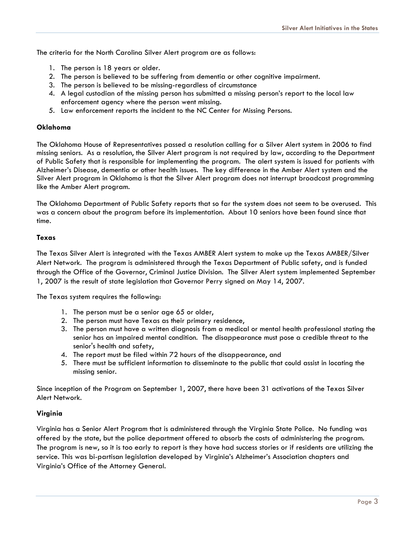The criteria for the North Carolina Silver Alert program are as follows:

- 1. The person is 18 years or older.
- 2. The person is believed to be suffering from dementia or other cognitive impairment.
- 3. The person is believed to be missing-regardless of circumstance
- 4. A legal custodian of the missing person has submitted a missing person's report to the local law enforcement agency where the person went missing.
- 5. Law enforcement reports the incident to the NC Center for Missing Persons.

#### Oklahoma

The Oklahoma House of Representatives passed a resolution calling for a Silver Alert system in 2006 to find missing seniors. As a resolution, the Silver Alert program is not required by law, according to the Department of Public Safety that is responsible for implementing the program. The alert system is issued for patients with Alzheimer's Disease, dementia or other health issues. The key difference in the Amber Alert system and the Silver Alert program in Oklahoma is that the Silver Alert program does not interrupt broadcast programming like the Amber Alert program.

The Oklahoma Department of Public Safety reports that so far the system does not seem to be overused. This was a concern about the program before its implementation. About 10 seniors have been found since that time.

#### Texas

The Texas Silver Alert is integrated with the Texas AMBER Alert system to make up the Texas AMBER/Silver Alert Network. The program is administered through the Texas Department of Public safety, and is funded through the Office of the Governor, Criminal Justice Division. The Silver Alert system implemented September 1, 2007 is the result of state legislation that Governor Perry signed on May 14, 2007.

The Texas system requires the following:

- 1. The person must be a senior age 65 or older,
- 2. The person must have Texas as their primary residence,
- 3. The person must have a written diagnosis from a medical or mental health professional stating the senior has an impaired mental condition. The disappearance must pose a credible threat to the senior's health and safety,
- 4. The report must be filed within 72 hours of the disappearance, and
- 5. There must be sufficient information to disseminate to the public that could assist in locating the missing senior.

Since inception of the Program on September 1, 2007, there have been 31 activations of the Texas Silver Alert Network.

#### Virginia

Virginia has a Senior Alert Program that is administered through the Virginia State Police. No funding was offered by the state, but the police department offered to absorb the costs of administering the program. The program is new, so it is too early to report is they have had success stories or if residents are utilizing the service. This was bi-partisan legislation developed by Virginia's Alzheimer's Association chapters and Virginia's Office of the Attorney General.